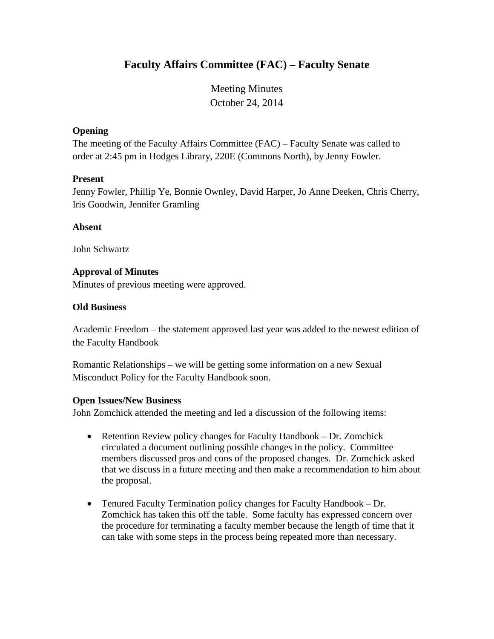# **Faculty Affairs Committee (FAC) – Faculty Senate**

Meeting Minutes October 24, 2014

#### **Opening**

The meeting of the Faculty Affairs Committee (FAC) – Faculty Senate was called to order at 2:45 pm in Hodges Library, 220E (Commons North), by Jenny Fowler.

#### **Present**

Jenny Fowler, Phillip Ye, Bonnie Ownley, David Harper, Jo Anne Deeken, Chris Cherry, Iris Goodwin, Jennifer Gramling

## **Absent**

John Schwartz

# **Approval of Minutes**

Minutes of previous meeting were approved.

## **Old Business**

Academic Freedom – the statement approved last year was added to the newest edition of the Faculty Handbook

Romantic Relationships – we will be getting some information on a new Sexual Misconduct Policy for the Faculty Handbook soon.

#### **Open Issues/New Business**

John Zomchick attended the meeting and led a discussion of the following items:

- Retention Review policy changes for Faculty Handbook Dr. Zomchick circulated a document outlining possible changes in the policy. Committee members discussed pros and cons of the proposed changes. Dr. Zomchick asked that we discuss in a future meeting and then make a recommendation to him about the proposal.
- Tenured Faculty Termination policy changes for Faculty Handbook Dr. Zomchick has taken this off the table. Some faculty has expressed concern over the procedure for terminating a faculty member because the length of time that it can take with some steps in the process being repeated more than necessary.